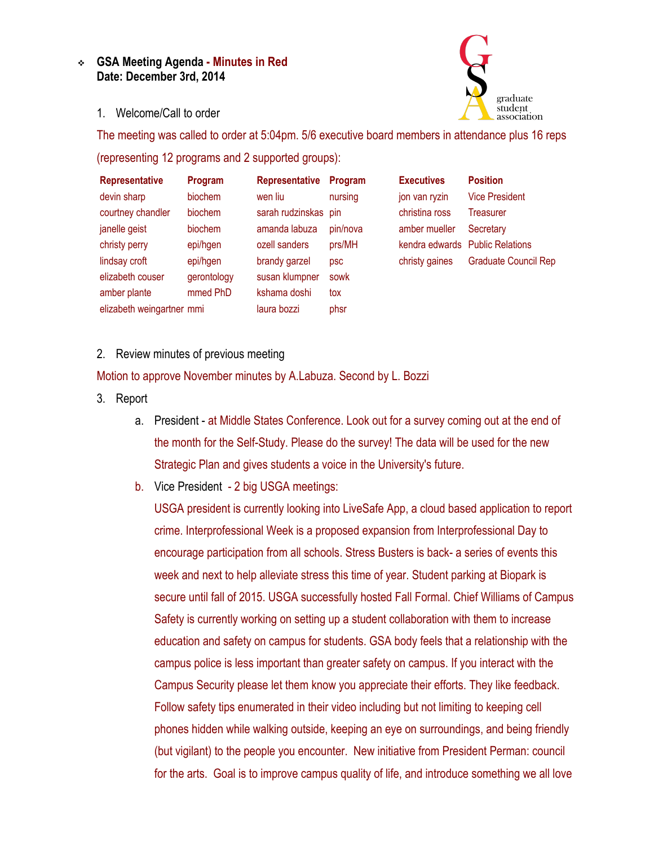## **GSA Meeting Agenda - Minutes in Red Date: December 3rd, 2014**



1. Welcome/Call to order

The meeting was called to order at 5:04pm. 5/6 executive board members in attendance plus 16 reps (representing 12 programs and 2 supported groups):

| <b>Representative</b>     | Program     | <b>Representative</b> | Program  | <b>Executives</b> | <b>Position</b>                 |
|---------------------------|-------------|-----------------------|----------|-------------------|---------------------------------|
| devin sharp               | biochem     | wen liu               | nursing  | jon van ryzin     | <b>Vice President</b>           |
| courtney chandler         | biochem     | sarah rudzinskas pin  |          | christina ross    | Treasurer                       |
| janelle geist             | biochem     | amanda labuza         | pin/nova | amber mueller     | Secretary                       |
| christy perry             | epi/hgen    | ozell sanders         | prs/MH   |                   | kendra edwards Public Relations |
| lindsay croft             | epi/hgen    | brandy garzel         | psc      | christy gaines    | <b>Graduate Council Rep</b>     |
| elizabeth couser          | gerontology | susan klumpner        | sowk     |                   |                                 |
| amber plante              | mmed PhD    | kshama doshi          | tox      |                   |                                 |
| elizabeth weingartner mmi |             | laura bozzi           | phsr     |                   |                                 |

2. Review minutes of previous meeting

Motion to approve November minutes by A.Labuza. Second by L. Bozzi

- 3. Report
	- a. President at Middle States Conference. Look out for a survey coming out at the end of the month for the Self-Study. Please do the survey! The data will be used for the new Strategic Plan and gives students a voice in the University's future.
	- b. Vice President 2 big USGA meetings:

USGA president is currently looking into LiveSafe App, a cloud based application to report crime. Interprofessional Week is a proposed expansion from Interprofessional Day to encourage participation from all schools. Stress Busters is back- a series of events this week and next to help alleviate stress this time of year. Student parking at Biopark is secure until fall of 2015. USGA successfully hosted Fall Formal. Chief Williams of Campus Safety is currently working on setting up a student collaboration with them to increase education and safety on campus for students. GSA body feels that a relationship with the campus police is less important than greater safety on campus. If you interact with the Campus Security please let them know you appreciate their efforts. They like feedback. Follow safety tips enumerated in their video including but not limiting to keeping cell phones hidden while walking outside, keeping an eye on surroundings, and being friendly (but vigilant) to the people you encounter. New initiative from President Perman: council for the arts. Goal is to improve campus quality of life, and introduce something we all love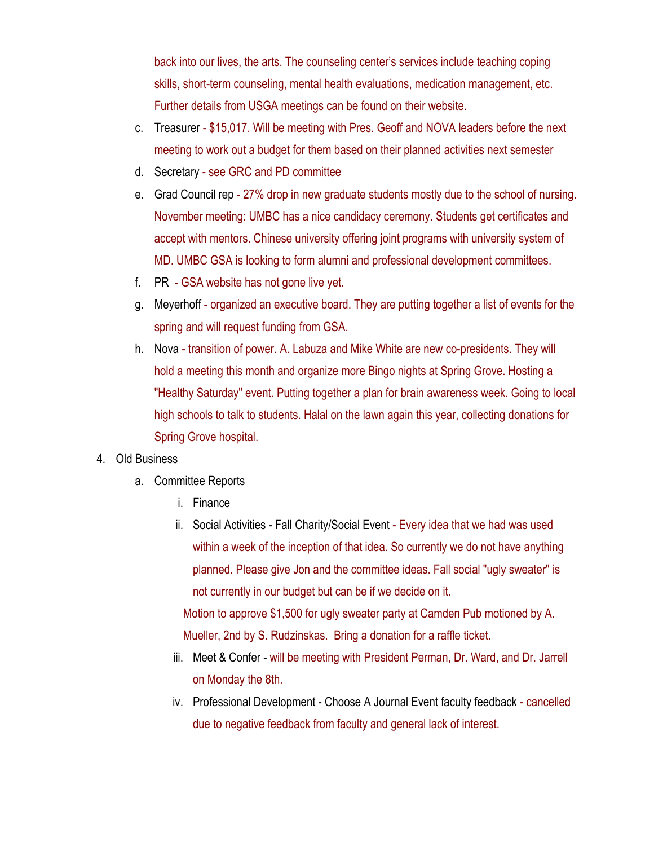back into our lives, the arts. The counseling center's services include teaching coping skills, short-term counseling, mental health evaluations, medication management, etc. Further details from USGA meetings can be found on their website.

- c. Treasurer \$15,017. Will be meeting with Pres. Geoff and NOVA leaders before the next meeting to work out a budget for them based on their planned activities next semester
- d. Secretary see GRC and PD committee
- e. Grad Council rep 27% drop in new graduate students mostly due to the school of nursing. November meeting: UMBC has a nice candidacy ceremony. Students get certificates and accept with mentors. Chinese university offering joint programs with university system of MD. UMBC GSA is looking to form alumni and professional development committees.
- f. PR GSA website has not gone live yet.
- g. Meyerhoff organized an executive board. They are putting together a list of events for the spring and will request funding from GSA.
- h. Nova transition of power. A. Labuza and Mike White are new co-presidents. They will hold a meeting this month and organize more Bingo nights at Spring Grove. Hosting a "Healthy Saturday" event. Putting together a plan for brain awareness week. Going to local high schools to talk to students. Halal on the lawn again this year, collecting donations for Spring Grove hospital.

## 4. Old Business

- a. Committee Reports
	- i. Finance
	- ii. Social Activities Fall Charity/Social Event Every idea that we had was used within a week of the inception of that idea. So currently we do not have anything planned. Please give Jon and the committee ideas. Fall social "ugly sweater" is not currently in our budget but can be if we decide on it.

Motion to approve \$1,500 for ugly sweater party at Camden Pub motioned by A. Mueller, 2nd by S. Rudzinskas. Bring a donation for a raffle ticket.

- iii. Meet & Confer will be meeting with President Perman, Dr. Ward, and Dr. Jarrell on Monday the 8th.
- iv. Professional Development Choose A Journal Event faculty feedback cancelled due to negative feedback from faculty and general lack of interest.